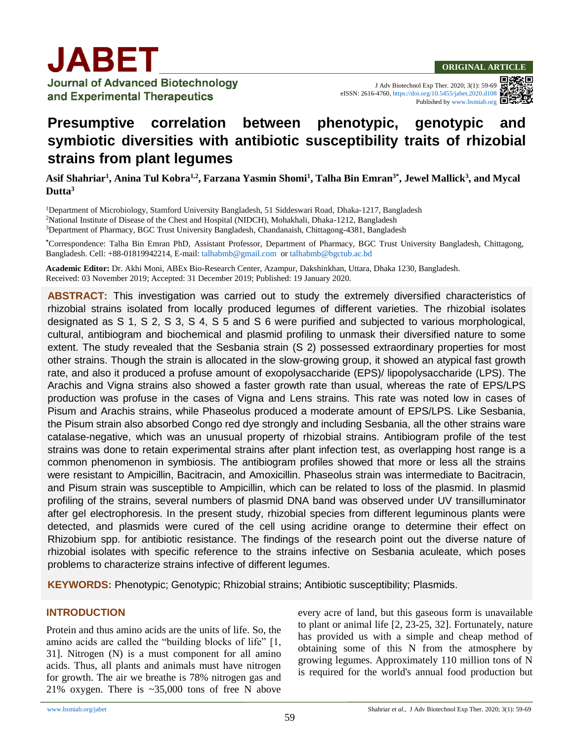

**Journal of Advanced Biotechnology** and Experimental Therapeutics

J Adv Biotechnol Exp Ther. 2020; 3(1): 59-69

eISSN: 2616-4760,<https://doi.org/10.5455/jabet.2020.d108>

Published b[y www.bsmiab.org](http://www.bsmiab.org/)

# **Presumptive correlation between phenotypic, genotypic and symbiotic diversities with antibiotic susceptibility traits of rhizobial strains from plant legumes**

**Asif Shahriar<sup>1</sup> , Anina Tul Kobra1,2 , Farzana Yasmin Shomi<sup>1</sup> , Talha Bin Emran3\*, Jewel Mallick<sup>3</sup> , and Mycal Dutta<sup>3</sup>**

<sup>1</sup>Department of Microbiology, Stamford University Bangladesh, 51 Siddeswari Road, Dhaka-1217, Bangladesh <sup>2</sup>National Institute of Disease of the Chest and Hospital (NIDCH), Mohakhali, Dhaka-1212, Bangladesh <sup>3</sup>Department of Pharmacy, BGC Trust University Bangladesh, Chandanaish, Chittagong-4381, Bangladesh

**\***Correspondence: Talha Bin Emran PhD, Assistant Professor, Department of Pharmacy, BGC Trust University Bangladesh, Chittagong, Bangladesh. Cell: +88-01819942214, E-mail: [talhabmb@gmail.com](mailto:talhabmb@gmail.com) or [talhabmb@bgctub.ac.bd](mailto:talhabmb@bgctub.ac.bd)

**Academic Editor:** Dr. Akhi Moni, ABEx Bio-Research Center, Azampur, Dakshinkhan, Uttara, Dhaka 1230, Bangladesh. Received: 03 November 2019; Accepted: 31 December 2019; Published: 19 January 2020.

**ABSTRACT:** This investigation was carried out to study the extremely diversified characteristics of rhizobial strains isolated from locally produced legumes of different varieties. The rhizobial isolates designated as S 1, S 2, S 3, S 4, S 5 and S 6 were purified and subjected to various morphological, cultural, antibiogram and biochemical and plasmid profiling to unmask their diversified nature to some extent. The study revealed that the Sesbania strain (S 2) possessed extraordinary properties for most other strains. Though the strain is allocated in the slow-growing group, it showed an atypical fast growth rate, and also it produced a profuse amount of exopolysaccharide (EPS)/ lipopolysaccharide (LPS). The Arachis and Vigna strains also showed a faster growth rate than usual, whereas the rate of EPS/LPS production was profuse in the cases of Vigna and Lens strains. This rate was noted low in cases of Pisum and Arachis strains, while Phaseolus produced a moderate amount of EPS/LPS. Like Sesbania, the Pisum strain also absorbed Congo red dye strongly and including Sesbania, all the other strains ware catalase-negative, which was an unusual property of rhizobial strains. Antibiogram profile of the test strains was done to retain experimental strains after plant infection test, as overlapping host range is a common phenomenon in symbiosis. The antibiogram profiles showed that more or less all the strains were resistant to Ampicillin, Bacitracin, and Amoxicillin. Phaseolus strain was intermediate to Bacitracin, and Pisum strain was susceptible to Ampicillin, which can be related to loss of the plasmid. In plasmid profiling of the strains, several numbers of plasmid DNA band was observed under UV transilluminator after gel electrophoresis. In the present study, rhizobial species from different leguminous plants were detected, and plasmids were cured of the cell using acridine orange to determine their effect on Rhizobium spp. for antibiotic resistance. The findings of the research point out the diverse nature of rhizobial isolates with specific reference to the strains infective on Sesbania aculeate, which poses problems to characterize strains infective of different legumes.

**KEYWORDS:** Phenotypic; Genotypic; Rhizobial strains; Antibiotic susceptibility; Plasmids.

#### **INTRODUCTION**

Protein and thus amino acids are the units of life. So, the amino acids are called the "building blocks of life" [1, 31]. Nitrogen (N) is a must component for all amino acids. Thus, all plants and animals must have nitrogen for growth. The air we breathe is 78% nitrogen gas and 21% oxygen. There is ~35,000 tons of free N above every acre of land, but this gaseous form is unavailable to plant or animal life [2, 23-25, 32]. Fortunately, nature has provided us with a simple and cheap method of obtaining some of this N from the atmosphere by growing legumes. Approximately 110 million tons of N is required for the world's annual food production but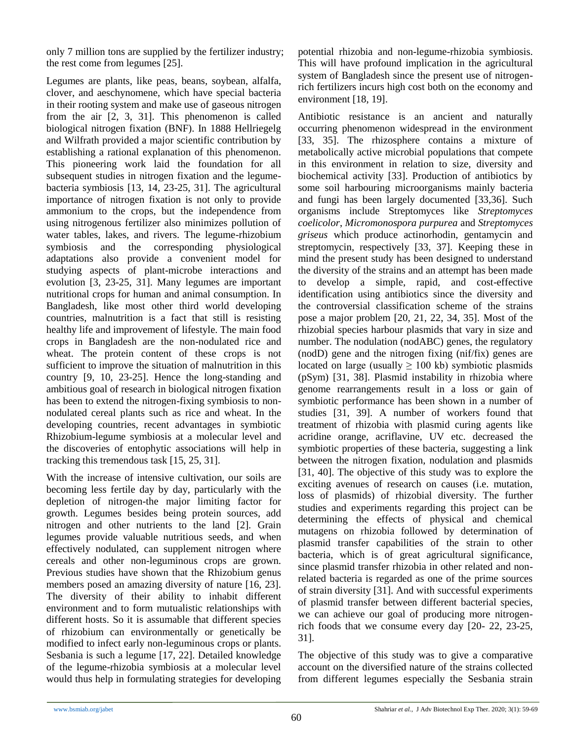only 7 million tons are supplied by the fertilizer industry; the rest come from legumes [25].

Legumes are plants, like peas, beans, soybean, alfalfa, clover, and aeschynomene, which have special bacteria in their rooting system and make use of gaseous nitrogen from the air [2, 3, 31]. This phenomenon is called biological nitrogen fixation (BNF). In 1888 Hellriegelg and Wilfrath provided a major scientific contribution by establishing a rational explanation of this phenomenon. This pioneering work laid the foundation for all subsequent studies in nitrogen fixation and the legumebacteria symbiosis [13, 14, 23-25, 31]. The agricultural importance of nitrogen fixation is not only to provide ammonium to the crops, but the independence from using nitrogenous fertilizer also minimizes pollution of water tables, lakes, and rivers. The legume-rhizobium symbiosis and the corresponding physiological adaptations also provide a convenient model for studying aspects of plant-microbe interactions and evolution [3, 23-25, 31]. Many legumes are important nutritional crops for human and animal consumption. In Bangladesh, like most other third world developing countries, malnutrition is a fact that still is resisting healthy life and improvement of lifestyle. The main food crops in Bangladesh are the non-nodulated rice and wheat. The protein content of these crops is not sufficient to improve the situation of malnutrition in this country [9, 10, 23-25]. Hence the long-standing and ambitious goal of research in biological nitrogen fixation has been to extend the nitrogen-fixing symbiosis to nonnodulated cereal plants such as rice and wheat. In the developing countries, recent advantages in symbiotic Rhizobium-legume symbiosis at a molecular level and the discoveries of entophytic associations will help in tracking this tremendous task [15, 25, 31].

With the increase of intensive cultivation, our soils are becoming less fertile day by day, particularly with the depletion of nitrogen-the major limiting factor for growth. Legumes besides being protein sources, add nitrogen and other nutrients to the land [2]. Grain legumes provide valuable nutritious seeds, and when effectively nodulated, can supplement nitrogen where cereals and other non-leguminous crops are grown. Previous studies have shown that the Rhizobium genus members posed an amazing diversity of nature [16, 23]. The diversity of their ability to inhabit different environment and to form mutualistic relationships with different hosts. So it is assumable that different species of rhizobium can environmentally or genetically be modified to infect early non-leguminous crops or plants. Sesbania is such a legume [17, 22]. Detailed knowledge of the legume-rhizobia symbiosis at a molecular level would thus help in formulating strategies for developing

potential rhizobia and non-legume-rhizobia symbiosis. This will have profound implication in the agricultural system of Bangladesh since the present use of nitrogenrich fertilizers incurs high cost both on the economy and environment [18, 19].

Antibiotic resistance is an ancient and naturally occurring phenomenon widespread in the environment [33, 35]. The rhizosphere contains a mixture of metabolically active microbial populations that compete in this environment in relation to size, diversity and biochemical activity [33]. Production of antibiotics by some soil harbouring microorganisms mainly bacteria and fungi has been largely documented [33,36]. Such organisms include Streptomyces like *Streptomyces coelicolor*, *Micromonospora purpurea* and *Streptomyces griseus* which produce actinorhodin, gentamycin and streptomycin, respectively [33, 37]. Keeping these in mind the present study has been designed to understand the diversity of the strains and an attempt has been made to develop a simple, rapid, and cost-effective identification using antibiotics since the diversity and the controversial classification scheme of the strains pose a major problem [20, 21, 22, 34, 35]. Most of the rhizobial species harbour plasmids that vary in size and number. The nodulation (nodABC) genes, the regulatory (nodD) gene and the nitrogen fixing (nif/fix) genes are located on large (usually  $\geq 100$  kb) symbiotic plasmids (pSym) [31, 38]. Plasmid instability in rhizobia where genome rearrangements result in a loss or gain of symbiotic performance has been shown in a number of studies [31, 39]. A number of workers found that treatment of rhizobia with plasmid curing agents like acridine orange, acriflavine, UV etc. decreased the symbiotic properties of these bacteria, suggesting a link between the nitrogen fixation, nodulation and plasmids [31, 40]. The objective of this study was to explore the exciting avenues of research on causes (i.e. mutation, loss of plasmids) of rhizobial diversity. The further studies and experiments regarding this project can be determining the effects of physical and chemical mutagens on rhizobia followed by determination of plasmid transfer capabilities of the strain to other bacteria, which is of great agricultural significance, since plasmid transfer rhizobia in other related and nonrelated bacteria is regarded as one of the prime sources of strain diversity [31]. And with successful experiments of plasmid transfer between different bacterial species, we can achieve our goal of producing more nitrogenrich foods that we consume every day [20- 22, 23-25, 31].

The objective of this study was to give a comparative account on the diversified nature of the strains collected from different legumes especially the Sesbania strain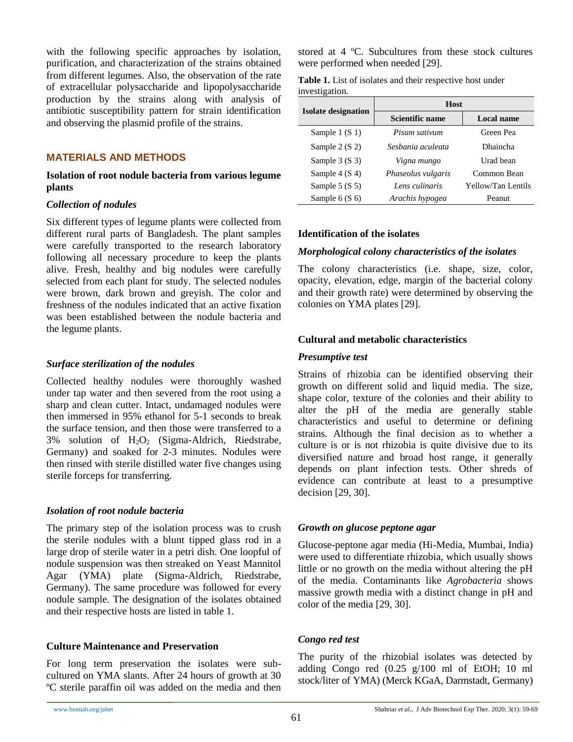with the following specific approaches by isolation, purification, and characterization of the strains obtained from different legumes. Also, the observation of the rate of extracellular polysaccharide and lipopolysaccharide production by the strains along with analysis of antibiotic susceptibility pattern for strain identification and observing the plasmid profile of the strains.

#### **MATERIALS AND METHODS**

#### **Isolation of root nodule bacteria from various legume plants**

#### *Collection of nodules*

Six different types of legume plants were collected from different rural parts of Bangladesh. The plant samples were carefully transported to the research laboratory following all necessary procedure to keep the plants alive. Fresh, healthy and big nodules were carefully selected from each plant for study. The selected nodules were brown, dark brown and greyish. The color and freshness of the nodules indicated that an active fixation was been established between the nodule bacteria and the legume plants.

#### *Surface sterilization of the nodules*

Collected healthy nodules were thoroughly washed under tap water and then severed from the root using a sharp and clean cutter. Intact, undamaged nodules were then immersed in 95% ethanol for 5-1 seconds to break the surface tension, and then those were transferred to a  $3\%$  solution of  $H_2O_2$  (Sigma-Aldrich, Riedstrabe, Germany) and soaked for 2-3 minutes. Nodules were then rinsed with sterile distilled water five changes using sterile forceps for transferring.

#### *Isolation of root nodule bacteria*

The primary step of the isolation process was to crush the sterile nodules with a blunt tipped glass rod in a large drop of sterile water in a petri dish. One loopful of nodule suspension was then streaked on Yeast Mannitol Agar (YMA) plate (Sigma-Aldrich, Riedstrabe, Germany). The same procedure was followed for every nodule sample. The designation of the isolates obtained and their respective hosts are listed in table 1.

#### **Culture Maintenance and Preservation**

For long term preservation the isolates were subcultured on YMA slants. After 24 hours of growth at 30 ºC sterile paraffin oil was added on the media and then stored at 4 ºC. Subcultures from these stock cultures were performed when needed [29].

| Table 1. List of isolates and their respective host under |  |  |
|-----------------------------------------------------------|--|--|
| investigation.                                            |  |  |

|                            | <b>Host</b>        |                    |  |  |
|----------------------------|--------------------|--------------------|--|--|
| <b>Isolate designation</b> | Scientific name    | <b>Local name</b>  |  |  |
| Sample $1(S_1)$            | Pisum sativum      | Green Pea          |  |  |
| Sample $2(S2)$             | Sesbania aculeata  | Dhaincha           |  |  |
| Sample $3(S3)$             | Vigna mungo        | Urad bean          |  |  |
| Sample $4(S4)$             | Phaseolus vulgaris | Common Bean        |  |  |
| Sample $5(S5)$             | Lens culinaris     | Yellow/Tan Lentils |  |  |
| Sample $6(S6)$             | Arachis hypogea    | Peanut             |  |  |

#### **Identification of the isolates**

#### *Morphological colony characteristics of the isolates*

The colony characteristics (i.e. shape, size, color, opacity, elevation, edge, margin of the bacterial colony and their growth rate) were determined by observing the colonies on YMA plates [29].

#### **Cultural and metabolic characteristics**

#### *Presumptive test*

Strains of rhizobia can be identified observing their growth on different solid and liquid media. The size, shape color, texture of the colonies and their ability to alter the pH of the media are generally stable characteristics and useful to determine or defining strains. Although the final decision as to whether a culture is or is not rhizobia is quite divisive due to its diversified nature and broad host range, it generally depends on plant infection tests. Other shreds of evidence can contribute at least to a presumptive decision [29, 30].

#### *Growth on glucose peptone agar*

Glucose-peptone agar media (Hi-Media, Mumbai, India) were used to differentiate rhizobia, which usually shows little or no growth on the media without altering the pH of the media. Contaminants like *Agrobacteria* shows massive growth media with a distinct change in pH and color of the media [29, 30].

#### *Congo red test*

The purity of the rhizobial isolates was detected by adding Congo red (0.25 g/100 ml of EtOH; 10 ml stock/liter of YMA) (Merck KGaA, Darmstadt, Germany)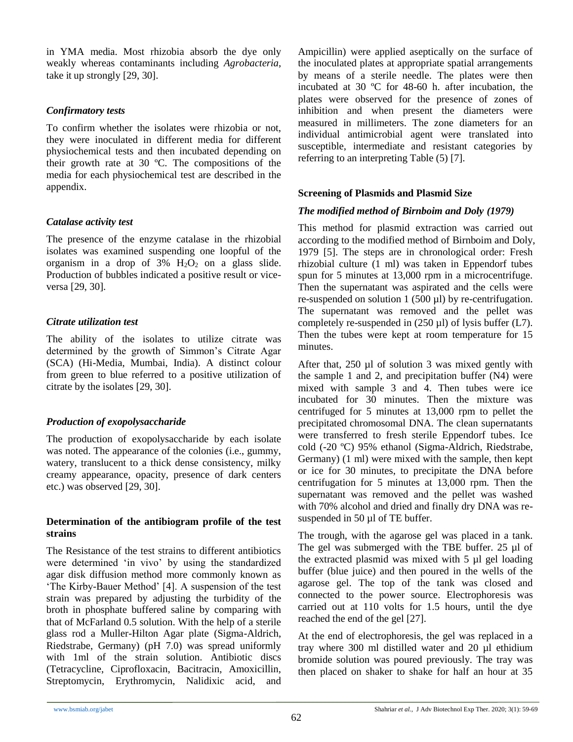in YMA media. Most rhizobia absorb the dye only weakly whereas contaminants including *Agrobacteria*, take it up strongly [29, 30].

# *Confirmatory tests*

To confirm whether the isolates were rhizobia or not, they were inoculated in different media for different physiochemical tests and then incubated depending on their growth rate at 30 ºC. The compositions of the media for each physiochemical test are described in the appendix.

# *Catalase activity test*

The presence of the enzyme catalase in the rhizobial isolates was examined suspending one loopful of the organism in a drop of  $3\%$  H<sub>2</sub>O<sub>2</sub> on a glass slide. Production of bubbles indicated a positive result or viceversa [29, 30].

# *Citrate utilization test*

The ability of the isolates to utilize citrate was determined by the growth of Simmon's Citrate Agar (SCA) (Hi-Media, Mumbai, India). A distinct colour from green to blue referred to a positive utilization of citrate by the isolates [29, 30].

# *Production of exopolysaccharide*

The production of exopolysaccharide by each isolate was noted. The appearance of the colonies (i.e., gummy, watery, translucent to a thick dense consistency, milky creamy appearance, opacity, presence of dark centers etc.) was observed [29, 30].

#### **Determination of the antibiogram profile of the test strains**

The Resistance of the test strains to different antibiotics were determined 'in vivo' by using the standardized agar disk diffusion method more commonly known as 'The Kirby-Bauer Method' [4]. A suspension of the test strain was prepared by adjusting the turbidity of the broth in phosphate buffered saline by comparing with that of McFarland 0.5 solution. With the help of a sterile glass rod a Muller-Hilton Agar plate (Sigma-Aldrich, Riedstrabe, Germany) (pH 7.0) was spread uniformly with 1ml of the strain solution. Antibiotic discs (Tetracycline, Ciprofloxacin, Bacitracin, Amoxicillin, Streptomycin, Erythromycin, Nalidixic acid, and Ampicillin) were applied aseptically on the surface of the inoculated plates at appropriate spatial arrangements by means of a sterile needle. The plates were then incubated at 30 ºC for 48-60 h. after incubation, the plates were observed for the presence of zones of inhibition and when present the diameters were measured in millimeters. The zone diameters for an individual antimicrobial agent were translated into susceptible, intermediate and resistant categories by referring to an interpreting Table (5) [7].

# **Screening of Plasmids and Plasmid Size**

# *The modified method of Birnboim and Doly (1979)*

This method for plasmid extraction was carried out according to the modified method of Birnboim and Doly, 1979 [5]. The steps are in chronological order: Fresh rhizobial culture (1 ml) was taken in Eppendorf tubes spun for 5 minutes at 13,000 rpm in a microcentrifuge. Then the supernatant was aspirated and the cells were re-suspended on solution 1 (500 µl) by re-centrifugation. The supernatant was removed and the pellet was completely re-suspended in  $(250 \,\mu\text{I})$  of lysis buffer (L7). Then the tubes were kept at room temperature for 15 minutes.

After that, 250 µl of solution 3 was mixed gently with the sample 1 and 2, and precipitation buffer (N4) were mixed with sample 3 and 4. Then tubes were ice incubated for 30 minutes. Then the mixture was centrifuged for 5 minutes at 13,000 rpm to pellet the precipitated chromosomal DNA. The clean supernatants were transferred to fresh sterile Eppendorf tubes. Ice cold (-20 ºC) 95% ethanol (Sigma-Aldrich, Riedstrabe, Germany) (1 ml) were mixed with the sample, then kept or ice for 30 minutes, to precipitate the DNA before centrifugation for 5 minutes at 13,000 rpm. Then the supernatant was removed and the pellet was washed with 70% alcohol and dried and finally dry DNA was resuspended in 50 µl of TE buffer.

The trough, with the agarose gel was placed in a tank. The gel was submerged with the TBE buffer. 25 µl of the extracted plasmid was mixed with 5 µl gel loading buffer (blue juice) and then poured in the wells of the agarose gel. The top of the tank was closed and connected to the power source. Electrophoresis was carried out at 110 volts for 1.5 hours, until the dye reached the end of the gel [27].

At the end of electrophoresis, the gel was replaced in a tray where 300 ml distilled water and 20 µl ethidium bromide solution was poured previously. The tray was then placed on shaker to shake for half an hour at 35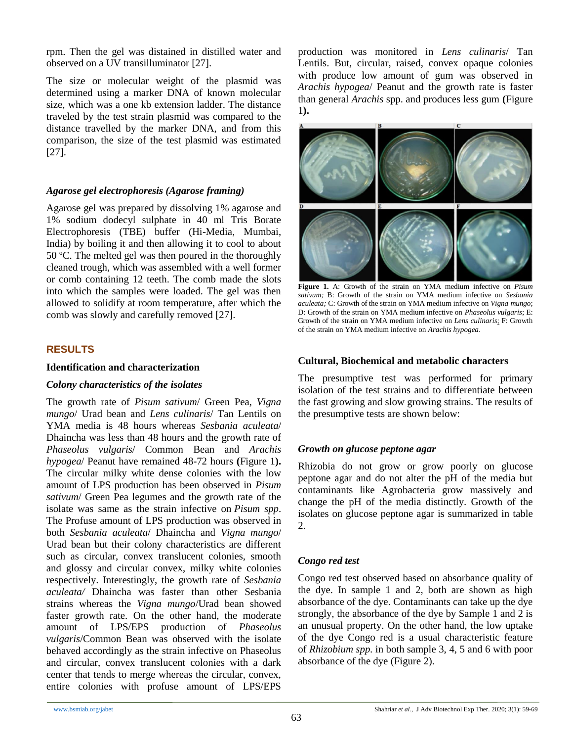rpm. Then the gel was distained in distilled water and observed on a UV transilluminator [27].

The size or molecular weight of the plasmid was determined using a marker DNA of known molecular size, which was a one kb extension ladder. The distance traveled by the test strain plasmid was compared to the distance travelled by the marker DNA, and from this comparison, the size of the test plasmid was estimated [27].

#### *Agarose gel electrophoresis (Agarose framing)*

Agarose gel was prepared by dissolving 1% agarose and 1% sodium dodecyl sulphate in 40 ml Tris Borate Electrophoresis (TBE) buffer (Hi-Media, Mumbai, India) by boiling it and then allowing it to cool to about 50 ºC. The melted gel was then poured in the thoroughly cleaned trough, which was assembled with a well former or comb containing 12 teeth. The comb made the slots into which the samples were loaded. The gel was then allowed to solidify at room temperature, after which the comb was slowly and carefully removed [27].

# **RESULTS**

#### **Identification and characterization**

# *Colony characteristics of the isolates*

The growth rate of *Pisum sativum*/ Green Pea, *Vigna mungo*/ Urad bean and *Lens culinaris*/ Tan Lentils on YMA media is 48 hours whereas *Sesbania aculeata*/ Dhaincha was less than 48 hours and the growth rate of *Phaseolus vulgaris*/ Common Bean and *Arachis hypogea*/ Peanut have remained 48-72 hours **(**Figure 1**).** The circular milky white dense colonies with the low amount of LPS production has been observed in *Pisum sativum*/ Green Pea legumes and the growth rate of the isolate was same as the strain infective on *Pisum spp*. The Profuse amount of LPS production was observed in both *Sesbania aculeata*/ Dhaincha and *Vigna mungo*/ Urad bean but their colony characteristics are different such as circular, convex translucent colonies, smooth and glossy and circular convex, milky white colonies respectively. Interestingly, the growth rate of *Sesbania aculeata/* Dhaincha was faster than other Sesbania strains whereas the *Vigna mungo*/Urad bean showed faster growth rate. On the other hand, the moderate amount of LPS/EPS production of *Phaseolus vulgaris*/Common Bean was observed with the isolate behaved accordingly as the strain infective on Phaseolus and circular, convex translucent colonies with a dark center that tends to merge whereas the circular, convex, entire colonies with profuse amount of LPS/EPS

production was monitored in *Lens culinaris*/ Tan Lentils. But, circular, raised, convex opaque colonies with produce low amount of gum was observed in *Arachis hypogea*/ Peanut and the growth rate is faster than general *Arachis* spp. and produces less gum **(**Figure 1**).**



**Figure 1.** A: Growth of the strain on YMA medium infective on *Pisum sativum;* B: Growth of the strain on YMA medium infective on *Sesbania aculeata;* C: Growth of the strain on YMA medium infective on *Vigna mungo*; D: Growth of the strain on YMA medium infective on *Phaseolus vulgaris*; E: Growth of the strain on YMA medium infective on *Lens culinaris*; F: Growth of the strain on YMA medium infective on *Arachis hypogea*.

# **Cultural, Biochemical and metabolic characters**

The presumptive test was performed for primary isolation of the test strains and to differentiate between the fast growing and slow growing strains. The results of the presumptive tests are shown below:

# *Growth on glucose peptone agar*

Rhizobia do not grow or grow poorly on glucose peptone agar and do not alter the pH of the media but contaminants like Agrobacteria grow massively and change the pH of the media distinctly. Growth of the isolates on glucose peptone agar is summarized in table 2.

# *Congo red test*

Congo red test observed based on absorbance quality of the dye. In sample 1 and 2, both are shown as high absorbance of the dye. Contaminants can take up the dye strongly, the absorbance of the dye by Sample 1 and 2 is an unusual property. On the other hand, the low uptake of the dye Congo red is a usual characteristic feature of *Rhizobium spp.* in both sample 3, 4, 5 and 6 with poor absorbance of the dye (Figure 2).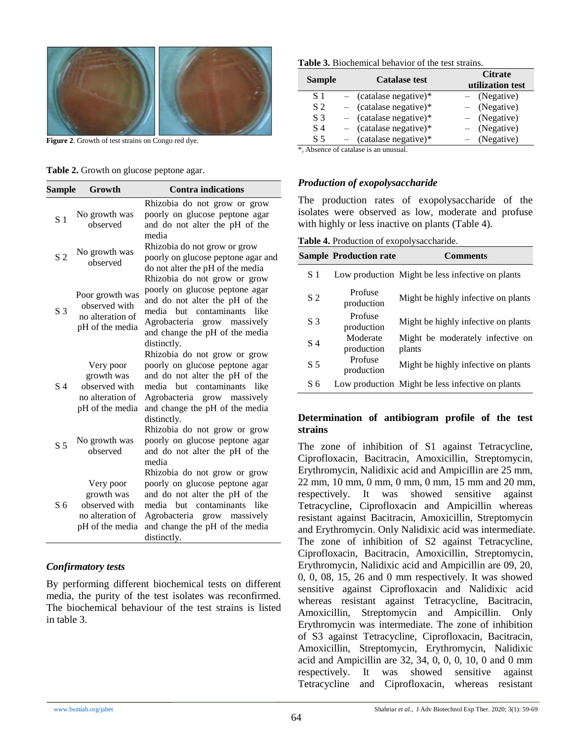

**Figure 2**. Growth of test strains on Congo red dye.

#### **Table 2.** Growth on glucose peptone agar.

| Sample         | Growth                                                                          | <b>Contra indications</b>                                                                                                                                                                                             |
|----------------|---------------------------------------------------------------------------------|-----------------------------------------------------------------------------------------------------------------------------------------------------------------------------------------------------------------------|
| S <sub>1</sub> | No growth was<br>observed                                                       | Rhizobia do not grow or grow<br>poorly on glucose peptone agar<br>and do not alter the pH of the<br>media                                                                                                             |
| S <sub>2</sub> | No growth was<br>observed                                                       | Rhizobia do not grow or grow<br>poorly on glucose peptone agar and<br>do not alter the pH of the media                                                                                                                |
| S <sub>3</sub> | Poor growth was<br>observed with<br>no alteration of<br>pH of the media         | Rhizobia do not grow or grow<br>poorly on glucose peptone agar<br>and do not alter the pH of the<br>media<br>but contaminants<br>like<br>Agrobacteria grow massively<br>and change the pH of the media<br>distinctly. |
| S <sub>4</sub> | Very poor<br>growth was<br>observed with<br>no alteration of<br>pH of the media | Rhizobia do not grow or grow<br>poorly on glucose peptone agar<br>and do not alter the pH of the<br>media but contaminants like<br>Agrobacteria grow massively<br>and change the pH of the media<br>distinctly.       |
| S <sub>5</sub> | No growth was<br>observed                                                       | Rhizobia do not grow or grow<br>poorly on glucose peptone agar<br>and do not alter the pH of the<br>media<br>Rhizobia do not grow or grow                                                                             |
| S <sub>6</sub> | Very poor<br>growth was<br>observed with<br>no alteration of<br>pH of the media | poorly on glucose peptone agar<br>and do not alter the pH of the<br>media<br>contaminants<br>- like<br>but<br>Agrobacteria grow massively<br>and change the pH of the media<br>distinctly.                            |

#### *Confirmatory tests*

By performing different biochemical tests on different media, the purity of the test isolates was reconfirmed. The biochemical behaviour of the test strains is listed in table 3.

| <b>Table 3.</b> Biochemical behavior of the test strains. |  |  |  |
|-----------------------------------------------------------|--|--|--|
|-----------------------------------------------------------|--|--|--|

| <b>Sample</b>  | <b>Catalase test</b>     | <b>Citrate</b><br>utilization test |  |  |
|----------------|--------------------------|------------------------------------|--|--|
| S 1            | $-$ (catalase negative)* | $-$ (Negative)                     |  |  |
| S <sub>2</sub> | $-$ (catalase negative)* | $-$ (Negative)                     |  |  |
| S <sub>3</sub> | $-$ (catalase negative)* | $-$ (Negative)                     |  |  |
| S 4            | $-$ (catalase negative)* | $-$ (Negative)                     |  |  |
| S 5            | $(catalog negative)$ *   | (Negative)                         |  |  |

\*, Absence of catalase is an unusual.

#### *Production of exopolysaccharide*

The production rates of exopolysaccharide of the isolates were observed as low, moderate and profuse with highly or less inactive on plants (Table 4).

**Table 4.** Production of exopolysaccharide.

|                | <b>Sample Production rate</b> | <b>Comments</b>                                  |
|----------------|-------------------------------|--------------------------------------------------|
| S 1            |                               | Low production Might be less infective on plants |
| S <sub>2</sub> | Profuse<br>production         | Might be highly infective on plants              |
| S <sub>3</sub> | Profuse<br>production         | Might be highly infective on plants              |
| S 4            | Moderate<br>production        | Might be moderately infective on<br>plants       |
| S <sub>5</sub> | Profuse<br>production         | Might be highly infective on plants              |
| S 6            |                               | Low production Might be less infective on plants |

#### **Determination of antibiogram profile of the test strains**

The zone of inhibition of S1 against Tetracycline, Ciprofloxacin, Bacitracin, Amoxicillin, Streptomycin, Erythromycin, Nalidixic acid and Ampicillin are 25 mm, 22 mm, 10 mm, 0 mm, 0 mm, 0 mm, 15 mm and 20 mm, respectively. It was showed sensitive against Tetracycline, Ciprofloxacin and Ampicillin whereas resistant against Bacitracin, Amoxicillin, Streptomycin and Erythromycin. Only Nalidixic acid was intermediate. The zone of inhibition of S2 against Tetracycline, Ciprofloxacin, Bacitracin, Amoxicillin, Streptomycin, Erythromycin, Nalidixic acid and Ampicillin are 09, 20, 0, 0, 08, 15, 26 and 0 mm respectively. It was showed sensitive against Ciprofloxacin and Nalidixic acid whereas resistant against Tetracycline, Bacitracin, Amoxicillin, Streptomycin and Ampicillin. Only Erythromycin was intermediate. The zone of inhibition of S3 against Tetracycline, Ciprofloxacin, Bacitracin, Amoxicillin, Streptomycin, Erythromycin, Nalidixic acid and Ampicillin are 32, 34, 0, 0, 0, 10, 0 and 0 mm respectively. It was showed sensitive against Tetracycline and Ciprofloxacin, whereas resistant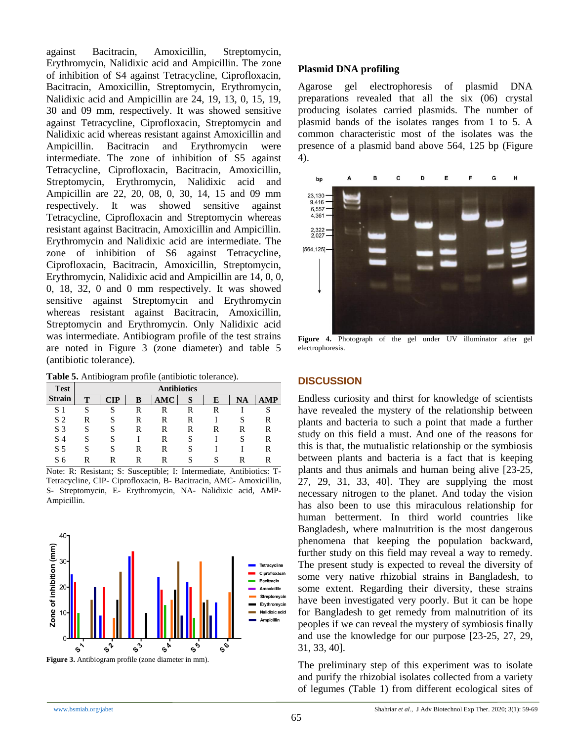against Bacitracin, Amoxicillin, Streptomycin, Erythromycin, Nalidixic acid and Ampicillin. The zone of inhibition of S4 against Tetracycline, Ciprofloxacin, Bacitracin, Amoxicillin, Streptomycin, Erythromycin, Nalidixic acid and Ampicillin are 24, 19, 13, 0, 15, 19, 30 and 09 mm, respectively. It was showed sensitive against Tetracycline, Ciprofloxacin, Streptomycin and Nalidixic acid whereas resistant against Amoxicillin and Ampicillin. Bacitracin and Erythromycin were intermediate. The zone of inhibition of S5 against Tetracycline, Ciprofloxacin, Bacitracin, Amoxicillin, Streptomycin, Erythromycin, Nalidixic acid and Ampicillin are 22, 20, 08, 0, 30, 14, 15 and 09 mm respectively. It was showed sensitive against Tetracycline, Ciprofloxacin and Streptomycin whereas resistant against Bacitracin, Amoxicillin and Ampicillin. Erythromycin and Nalidixic acid are intermediate. The zone of inhibition of S6 against Tetracycline, Ciprofloxacin, Bacitracin, Amoxicillin, Streptomycin, Erythromycin, Nalidixic acid and Ampicillin are 14, 0, 0, 0, 18, 32, 0 and 0 mm respectively. It was showed sensitive against Streptomycin and Erythromycin whereas resistant against Bacitracin, Amoxicillin, Streptomycin and Erythromycin. Only Nalidixic acid was intermediate. Antibiogram profile of the test strains are noted in Figure 3 (zone diameter) and table 5 (antibiotic tolerance).

**Table 5.** Antibiogram profile (antibiotic tolerance).

| <b>Test</b>         | <b>Antibiotics</b> |    |   |     |   |   |   |   |
|---------------------|--------------------|----|---|-----|---|---|---|---|
| <b>Strain</b>       | т                  | ΙР | B | AMC | S | E | A |   |
| $\overline{1}$<br>S | S                  | S  | R | R   | R | R |   | S |
| S <sub>2</sub>      | R                  | S  | R | R   | R |   | S | R |
| S <sub>3</sub>      | S                  | S  | R | R   | R | R | R | R |
| S 4                 | S                  | S  |   | R   | S |   | S | R |
| S <sub>5</sub>      | S                  | S  | R | R   | S |   |   | R |
| S 6                 | R                  | R  | R | R   | S |   | R | R |

Note: R: Resistant; S: Susceptible; I: Intermediate, Antibiotics: T-Tetracycline, CIP- Ciprofloxacin, B- Bacitracin, AMC- Amoxicillin, S- Streptomycin, E- Erythromycin, NA- Nalidixic acid, AMP-Ampicillin.



#### **Plasmid DNA profiling**

Agarose gel electrophoresis of plasmid DNA preparations revealed that all the six (06) crystal producing isolates carried plasmids. The number of plasmid bands of the isolates ranges from 1 to 5. A common characteristic most of the isolates was the presence of a plasmid band above 564, 125 bp (Figure 4).



**Figure 4.** Photograph of the gel under UV illuminator after gel electrophoresis.

# **DISCUSSION**

Endless curiosity and thirst for knowledge of scientists have revealed the mystery of the relationship between plants and bacteria to such a point that made a further study on this field a must. And one of the reasons for this is that, the mutualistic relationship or the symbiosis between plants and bacteria is a fact that is keeping plants and thus animals and human being alive [23-25, 27, 29, 31, 33, 40]. They are supplying the most necessary nitrogen to the planet. And today the vision has also been to use this miraculous relationship for human betterment. In third world countries like Bangladesh, where malnutrition is the most dangerous phenomena that keeping the population backward, further study on this field may reveal a way to remedy. The present study is expected to reveal the diversity of some very native rhizobial strains in Bangladesh, to some extent. Regarding their diversity, these strains have been investigated very poorly. But it can be hope for Bangladesh to get remedy from malnutrition of its peoples if we can reveal the mystery of symbiosis finally and use the knowledge for our purpose [23-25, 27, 29, 31, 33, 40].

The preliminary step of this experiment was to isolate and purify the rhizobial isolates collected from a variety of legumes (Table 1) from different ecological sites of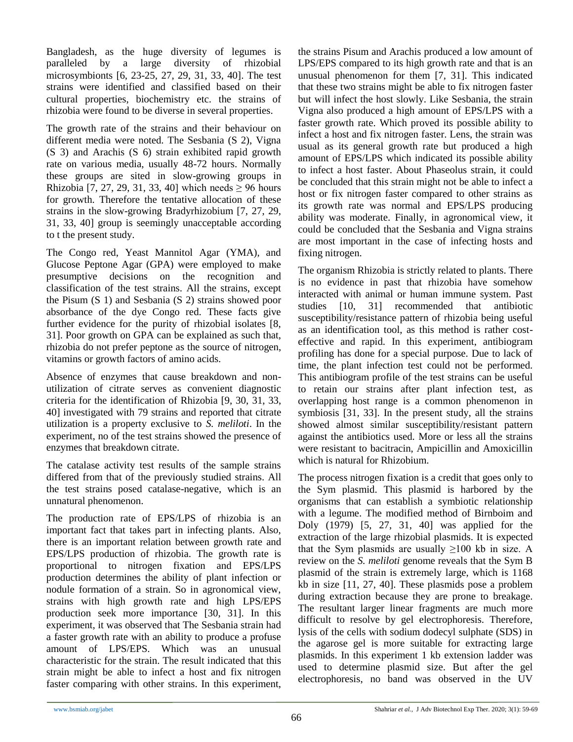Bangladesh, as the huge diversity of legumes is paralleled by a large diversity of rhizobial microsymbionts [6, 23-25, 27, 29, 31, 33, 40]. The test strains were identified and classified based on their cultural properties, biochemistry etc. the strains of rhizobia were found to be diverse in several properties.

The growth rate of the strains and their behaviour on different media were noted. The Sesbania (S 2), Vigna (S 3) and Arachis (S 6) strain exhibited rapid growth rate on various media, usually 48-72 hours. Normally these groups are sited in slow-growing groups in Rhizobia [7, 27, 29, 31, 33, 40] which needs  $\geq$  96 hours for growth. Therefore the tentative allocation of these strains in the slow-growing Bradyrhizobium [7, 27, 29, 31, 33, 40] group is seemingly unacceptable according to t the present study.

The Congo red, Yeast Mannitol Agar (YMA), and Glucose Peptone Agar (GPA) were employed to make presumptive decisions on the recognition and classification of the test strains. All the strains, except the Pisum (S 1) and Sesbania (S 2) strains showed poor absorbance of the dye Congo red. These facts give further evidence for the purity of rhizobial isolates [8, 31]. Poor growth on GPA can be explained as such that, rhizobia do not prefer peptone as the source of nitrogen, vitamins or growth factors of amino acids.

Absence of enzymes that cause breakdown and nonutilization of citrate serves as convenient diagnostic criteria for the identification of Rhizobia [9, 30, 31, 33, 40] investigated with 79 strains and reported that citrate utilization is a property exclusive to *S. meliloti*. In the experiment, no of the test strains showed the presence of enzymes that breakdown citrate.

The catalase activity test results of the sample strains differed from that of the previously studied strains. All the test strains posed catalase-negative, which is an unnatural phenomenon.

The production rate of EPS/LPS of rhizobia is an important fact that takes part in infecting plants. Also, there is an important relation between growth rate and EPS/LPS production of rhizobia. The growth rate is proportional to nitrogen fixation and EPS/LPS production determines the ability of plant infection or nodule formation of a strain. So in agronomical view, strains with high growth rate and high LPS/EPS production seek more importance [30, 31]. In this experiment, it was observed that The Sesbania strain had a faster growth rate with an ability to produce a profuse amount of LPS/EPS. Which was an unusual characteristic for the strain. The result indicated that this strain might be able to infect a host and fix nitrogen faster comparing with other strains. In this experiment, the strains Pisum and Arachis produced a low amount of LPS/EPS compared to its high growth rate and that is an unusual phenomenon for them [7, 31]. This indicated that these two strains might be able to fix nitrogen faster but will infect the host slowly. Like Sesbania, the strain Vigna also produced a high amount of EPS/LPS with a faster growth rate. Which proved its possible ability to infect a host and fix nitrogen faster. Lens, the strain was usual as its general growth rate but produced a high amount of EPS/LPS which indicated its possible ability to infect a host faster. About Phaseolus strain, it could be concluded that this strain might not be able to infect a host or fix nitrogen faster compared to other strains as its growth rate was normal and EPS/LPS producing ability was moderate. Finally, in agronomical view, it could be concluded that the Sesbania and Vigna strains are most important in the case of infecting hosts and fixing nitrogen.

The organism Rhizobia is strictly related to plants. There is no evidence in past that rhizobia have somehow interacted with animal or human immune system. Past studies [10, 31] recommended that antibiotic susceptibility/resistance pattern of rhizobia being useful as an identification tool, as this method is rather costeffective and rapid. In this experiment, antibiogram profiling has done for a special purpose. Due to lack of time, the plant infection test could not be performed. This antibiogram profile of the test strains can be useful to retain our strains after plant infection test, as overlapping host range is a common phenomenon in symbiosis [31, 33]. In the present study, all the strains showed almost similar susceptibility/resistant pattern against the antibiotics used. More or less all the strains were resistant to bacitracin, Ampicillin and Amoxicillin which is natural for Rhizobium.

The process nitrogen fixation is a credit that goes only to the Sym plasmid. This plasmid is harbored by the organisms that can establish a symbiotic relationship with a legume. The modified method of Birnboim and Doly (1979) [5, 27, 31, 40] was applied for the extraction of the large rhizobial plasmids. It is expected that the Sym plasmids are usually  $\geq 100$  kb in size. A review on the *S. meliloti* genome reveals that the Sym B plasmid of the strain is extremely large, which is 1168 kb in size [11, 27, 40]. These plasmids pose a problem during extraction because they are prone to breakage. The resultant larger linear fragments are much more difficult to resolve by gel electrophoresis. Therefore, lysis of the cells with sodium dodecyl sulphate (SDS) in the agarose gel is more suitable for extracting large plasmids. In this experiment 1 kb extension ladder was used to determine plasmid size. But after the gel electrophoresis, no band was observed in the UV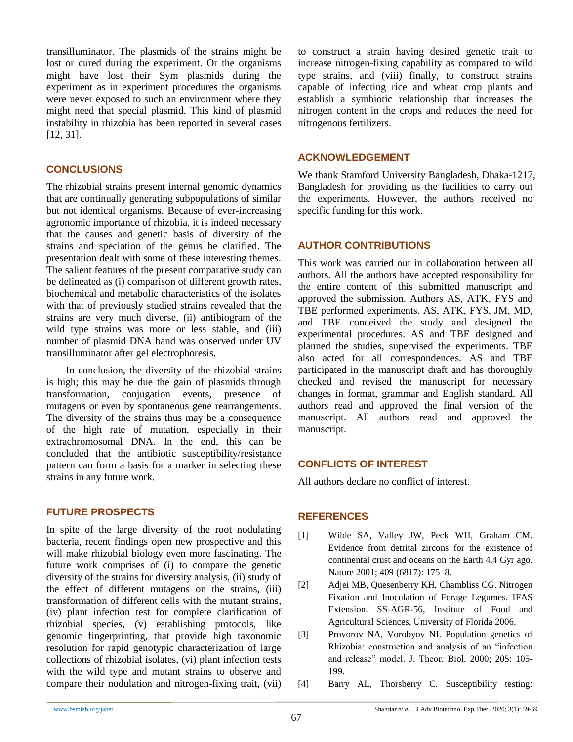transilluminator. The plasmids of the strains might be lost or cured during the experiment. Or the organisms might have lost their Sym plasmids during the experiment as in experiment procedures the organisms were never exposed to such an environment where they might need that special plasmid. This kind of plasmid instability in rhizobia has been reported in several cases [12, 31].

#### **CONCLUSIONS**

The rhizobial strains present internal genomic dynamics that are continually generating subpopulations of similar but not identical organisms. Because of ever-increasing agronomic importance of rhizobia, it is indeed necessary that the causes and genetic basis of diversity of the strains and speciation of the genus be clarified. The presentation dealt with some of these interesting themes. The salient features of the present comparative study can be delineated as (i) comparison of different growth rates, biochemical and metabolic characteristics of the isolates with that of previously studied strains revealed that the strains are very much diverse, (ii) antibiogram of the wild type strains was more or less stable, and (iii) number of plasmid DNA band was observed under UV transilluminator after gel electrophoresis.

In conclusion, the diversity of the rhizobial strains is high; this may be due the gain of plasmids through transformation, conjugation events, presence of mutagens or even by spontaneous gene rearrangements. The diversity of the strains thus may be a consequence of the high rate of mutation, especially in their extrachromosomal DNA. In the end, this can be concluded that the antibiotic susceptibility/resistance pattern can form a basis for a marker in selecting these strains in any future work.

#### **FUTURE PROSPECTS**

In spite of the large diversity of the root nodulating bacteria, recent findings open new prospective and this will make rhizobial biology even more fascinating. The future work comprises of (i) to compare the genetic diversity of the strains for diversity analysis, (ii) study of the effect of different mutagens on the strains, (iii) transformation of different cells with the mutant strains, (iv) plant infection test for complete clarification of rhizobial species, (v) establishing protocols, like genomic fingerprinting, that provide high taxonomic resolution for rapid genotypic characterization of large collections of rhizobial isolates, (vi) plant infection tests with the wild type and mutant strains to observe and compare their nodulation and nitrogen-fixing trait, (vii) to construct a strain having desired genetic trait to increase nitrogen-fixing capability as compared to wild type strains, and (viii) finally, to construct strains capable of infecting rice and wheat crop plants and establish a symbiotic relationship that increases the nitrogen content in the crops and reduces the need for nitrogenous fertilizers.

#### **ACKNOWLEDGEMENT**

We thank Stamford University Bangladesh, Dhaka-1217, Bangladesh for providing us the facilities to carry out the experiments. However, the authors received no specific funding for this work.

#### **AUTHOR CONTRIBUTIONS**

This work was carried out in collaboration between all authors. All the authors have accepted responsibility for the entire content of this submitted manuscript and approved the submission. Authors AS, ATK, FYS and TBE performed experiments. AS, ATK, FYS, JM, MD, and TBE conceived the study and designed the experimental procedures. AS and TBE designed and planned the studies, supervised the experiments. TBE also acted for all correspondences. AS and TBE participated in the manuscript draft and has thoroughly checked and revised the manuscript for necessary changes in format, grammar and English standard. All authors read and approved the final version of the manuscript. All authors read and approved the manuscript.

# **CONFLICTS OF INTEREST**

All authors declare no conflict of interest.

#### **REFERENCES**

- [1] Wilde SA, Valley JW, Peck WH, Graham CM. Evidence from detrital zircons for the existence of continental crust and oceans on the Earth 4.4 Gyr ago. Nature 2001; 409 (6817): 175–8.
- [2] Adjei MB, Quesenberry KH, Chambliss CG. Nitrogen Fixation and Inoculation of Forage Legumes. IFAS Extension. SS-AGR-56, Institute of Food and Agricultural Sciences, University of Florida 2006.
- [3] Provorov NA, Vorobyov NI. Population genetics of Rhizobia: construction and analysis of an "infection and release" model. J. Theor. Biol. 2000; 205: 105- 199.
- [4] Barry AL, Thorsberry C. Susceptibility testing: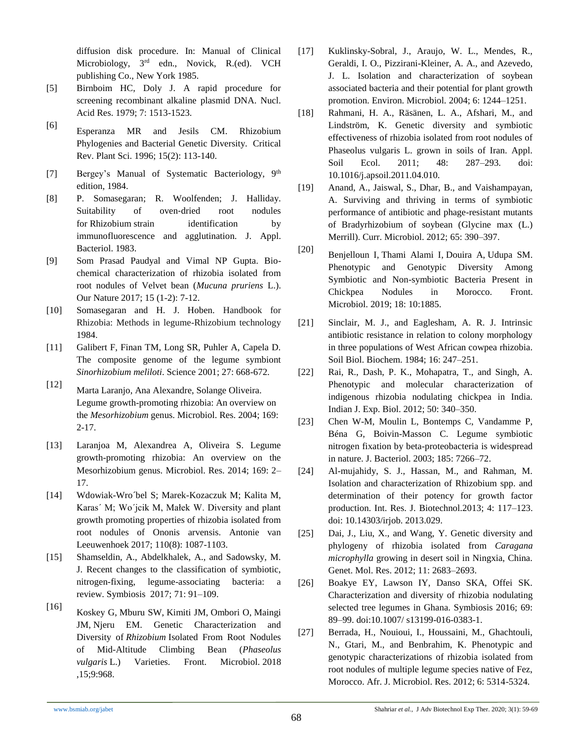diffusion disk procedure. In: Manual of Clinical Microbiology, 3<sup>rd</sup> edn., Novick, R.(ed). VCH publishing Co., New York 1985.

- [5] Birnboim HC, Doly J. A rapid procedure for screening recombinant alkaline plasmid DNA. Nucl. Acid Res. 1979; 7: 1513-1523.
- [6] Esperanza MR and Jesils CM. Rhizobium Phylogenies and Bacterial Genetic Diversity. Critical Rev. Plant Sci. 1996; 15(2): 113-140.
- [7] Bergey's Manual of Systematic Bacteriology, 9<sup>th</sup> edition, 1984.
- [8] P. Somasegaran; R. Woolfenden; J. Halliday. Suitability of oven-dried root nodules for Rhizobium strain identification by immunofluorescence and agglutination. J. Appl. Bacteriol. 1983.
- [9] Som Prasad Paudyal and Vimal NP Gupta. Biochemical characterization of rhizobia isolated from root nodules of Velvet bean (*Mucuna pruriens* L.). Our Nature 2017; 15 (1-2): 7-12.
- [10] Somasegaran and H. J. Hoben. Handbook for Rhizobia: Methods in legume-Rhizobium technology 1984.
- [11] Galibert F, Finan TM, Long SR, Puhler A, Capela D. The composite genome of the legume symbiont *Sinorhizobium meliloti*. Science 2001; 27: 668-672.
- [12] Marta Laranjo, Ana Alexandre, Solange Oliveira. Legume growth-promoting rhizobia: An overview on the *Mesorhizobium* genus. Microbiol. Res. 2004; 169: 2-17.
- [13] Laranjoa M, Alexandrea A, Oliveira S. Legume growth-promoting rhizobia: An overview on the Mesorhizobium genus. Microbiol. Res. 2014; 169: 2– 17.
- [14] Wdowiak-Wro´bel S; Marek-Kozaczuk M; Kalita M, Karas´ M; Wo´jcik M, Małek W. Diversity and plant growth promoting properties of rhizobia isolated from root nodules of Ononis arvensis. Antonie van Leeuwenhoek 2017; 110(8): 1087-1103.
- [15] Shamseldin, A., Abdelkhalek, A., and Sadowsky, M. J. Recent changes to the classification of symbiotic, nitrogen-fixing, legume-associating bacteria: a review. Symbiosis 2017; 71: 91–109.
- [16] [Koskey G,](https://www.ncbi.nlm.nih.gov/pubmed/?term=Koskey%20G%5bAuthor%5d&cauthor=true&cauthor_uid=29867872) Mburu SW, Kimiti JM, Ombori O, Maingi JM, Njeru EM. Genetic Characterization and Diversity of *Rhizobium* Isolated From Root Nodules of Mid-Altitude Climbing Bean (*Phaseolus vulgaris* L.) Varieties. Front. Microbiol. 2018 ,15;9:968.
- [17] Kuklinsky-Sobral, J., Araujo, W. L., Mendes, R., Geraldi, I. O., Pizzirani-Kleiner, A. A., and Azevedo, J. L. Isolation and characterization of soybean associated bacteria and their potential for plant growth promotion. Environ. Microbiol. 2004; 6: 1244–1251.
- [18] Rahmani, H. A., Räsänen, L. A., Afshari, M., and Lindström, K. Genetic diversity and symbiotic effectiveness of rhizobia isolated from root nodules of Phaseolus vulgaris L. grown in soils of Iran. Appl. Soil Ecol. 2011; 48: 287–293. doi: 10.1016/j.apsoil.2011.04.010.
- [19] Anand, A., Jaiswal, S., Dhar, B., and Vaishampayan, A. Surviving and thriving in terms of symbiotic performance of antibiotic and phage-resistant mutants of Bradyrhizobium of soybean (Glycine max (L.) Merrill). Curr. Microbiol. 2012; 65: 390–397.
- [20] [Benjelloun I,](https://www.ncbi.nlm.nih.gov/pubmed/?term=Benjelloun%20I%5bAuthor%5d&cauthor=true&cauthor_uid=31620094) [Thami Alami I,](https://www.ncbi.nlm.nih.gov/pubmed/?term=Thami%20Alami%20I%5bAuthor%5d&cauthor=true&cauthor_uid=31620094) [Douira A,](https://www.ncbi.nlm.nih.gov/pubmed/?term=Douira%20A%5bAuthor%5d&cauthor=true&cauthor_uid=31620094) [Udupa SM.](https://www.ncbi.nlm.nih.gov/pubmed/?term=Udupa%20SM%5bAuthor%5d&cauthor=true&cauthor_uid=31620094) Phenotypic and Genotypic Diversity Among Symbiotic and Non-symbiotic Bacteria Present in Chickpea Nodules in Morocco. Front. Microbiol. 2019; 18: 10:1885.
- [21] Sinclair, M. J., and Eaglesham, A. R. J. Intrinsic antibiotic resistance in relation to colony morphology in three populations of West African cowpea rhizobia. Soil Biol. Biochem. 1984; 16: 247–251.
- [22] Rai, R., Dash, P. K., Mohapatra, T., and Singh, A. Phenotypic and molecular characterization of indigenous rhizobia nodulating chickpea in India. Indian J. Exp. Biol. 2012; 50: 340–350.
- [23] Chen W-M, Moulin L, Bontemps C, Vandamme P, Béna G, Boivin-Masson C. Legume symbiotic nitrogen fixation by beta-proteobacteria is widespread in nature. J. Bacteriol. 2003; 185: 7266–72.
- [24] Al-mujahidy, S. J., Hassan, M., and Rahman, M. Isolation and characterization of Rhizobium spp. and determination of their potency for growth factor production. Int. Res. J. Biotechnol.2013; 4: 117–123. doi: 10.14303/irjob. 2013.029.
- [25] Dai, J., Liu, X., and Wang, Y. Genetic diversity and phylogeny of rhizobia isolated from *Caragana microphylla* growing in desert soil in Ningxia, China. Genet. Mol. Res. 2012; 11: 2683–2693.
- [26] Boakye EY, Lawson IY, Danso SKA, Offei SK. Characterization and diversity of rhizobia nodulating selected tree legumes in Ghana. Symbiosis 2016; 69: 89–99. doi:10.1007/ s13199-016-0383-1.
- [27] Berrada, H., Nouioui, I., Houssaini, M., Ghachtouli, N., Gtari, M., and Benbrahim, K. Phenotypic and genotypic characterizations of rhizobia isolated from root nodules of multiple legume species native of Fez, Morocco. Afr. J. Microbiol. Res. 2012; 6: 5314-5324.